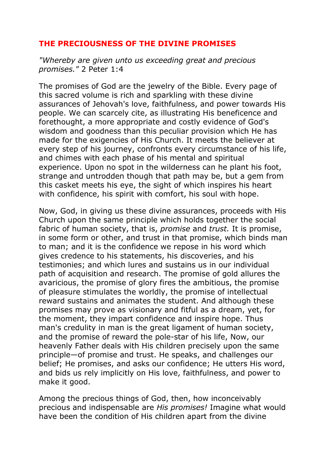## **THE PRECIOUSNESS OF THE DIVINE PROMISES**

*"Whereby are given unto us exceeding great and precious promises."* 2 Peter 1:4

The promises of God are the jewelry of the Bible. Every page of this sacred volume is rich and sparkling with these divine assurances of Jehovah's love, faithfulness, and power towards His people. We can scarcely cite, as illustrating His beneficence and forethought, a more appropriate and costly evidence of God's wisdom and goodness than this peculiar provision which He has made for the exigencies of His Church. It meets the believer at every step of his journey, confronts every circumstance of his life, and chimes with each phase of his mental and spiritual experience. Upon no spot in the wilderness can he plant his foot, strange and untrodden though that path may be, but a gem from this casket meets his eye, the sight of which inspires his heart with confidence, his spirit with comfort, his soul with hope.

Now, God, in giving us these divine assurances, proceeds with His Church upon the same principle which holds together the social fabric of human society, that is, *promise* and *trust.* It is promise, in some form or other, and trust in that promise, which binds man to man; and it is the confidence we repose in his word which gives credence to his statements, his discoveries, and his testimonies; and which lures and sustains us in our individual path of acquisition and research. The promise of gold allures the avaricious, the promise of glory fires the ambitious, the promise of pleasure stimulates the worldly, the promise of intellectual reward sustains and animates the student. And although these promises may prove as visionary and fitful as a dream, yet, for the moment, they impart confidence and inspire hope. Thus man's credulity in man is the great ligament of human society, and the promise of reward the pole-star of his life, Now, our heavenly Father deals with His children precisely upon the same principle—of promise and trust. He speaks, and challenges our belief; He promises, and asks our confidence; He utters His word, and bids us rely implicitly on His love, faithfulness, and power to make it good.

Among the precious things of God, then, how inconceivably precious and indispensable are *His promises!* Imagine what would have been the condition of His children apart from the divine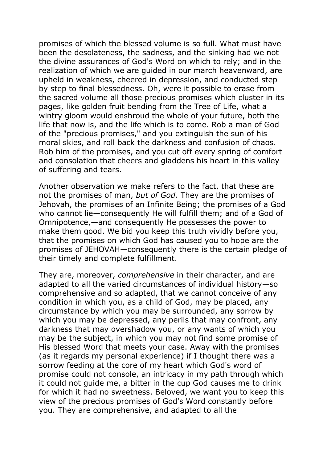promises of which the blessed volume is so full. What must have been the desolateness, the sadness, and the sinking had we not the divine assurances of God's Word on which to rely; and in the realization of which we are guided in our march heavenward, are upheld in weakness, cheered in depression, and conducted step by step to final blessedness. Oh, were it possible to erase from the sacred volume all those precious promises which cluster in its pages, like golden fruit bending from the Tree of Life, what a wintry gloom would enshroud the whole of your future, both the life that now is, and the life which is to come. Rob a man of God of the "precious promises," and you extinguish the sun of his moral skies, and roll back the darkness and confusion of chaos. Rob him of the promises, and you cut off every spring of comfort and consolation that cheers and gladdens his heart in this valley of suffering and tears.

Another observation we make refers to the fact, that these are not the promises of man, *but of God.* They are the promises of Jehovah, the promises of an Infinite Being; the promises of a God who cannot lie—consequently He will fulfill them; and of a God of Omnipotence,—and consequently He possesses the power to make them good. We bid you keep this truth vividly before you, that the promises on which God has caused you to hope are the promises of JEHOVAH—consequently there is the certain pledge of their timely and complete fulfillment.

They are, moreover, *comprehensive* in their character, and are adapted to all the varied circumstances of individual history—so comprehensive and so adapted, that we cannot conceive of any condition in which you, as a child of God, may be placed, any circumstance by which you may be surrounded, any sorrow by which you may be depressed, any perils that may confront, any darkness that may overshadow you, or any wants of which you may be the subject, in which you may not find some promise of His blessed Word that meets your case. Away with the promises (as it regards my personal experience) if I thought there was a sorrow feeding at the core of my heart which God's word of promise could not console, an intricacy in my path through which it could not guide me, a bitter in the cup God causes me to drink for which it had no sweetness. Beloved, we want you to keep this view of the precious promises of God's Word constantly before you. They are comprehensive, and adapted to all the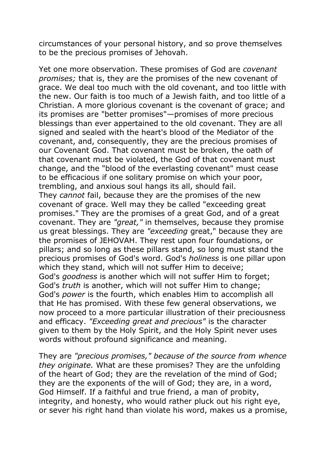circumstances of your personal history, and so prove themselves to be the precious promises of Jehovah.

Yet one more observation. These promises of God are *covenant promises;* that is, they are the promises of the new covenant of grace. We deal too much with the old covenant, and too little with the new. Our faith is too much of a Jewish faith, and too little of a Christian. A more glorious covenant is the covenant of grace; and its promises are "better promises"—promises of more precious blessings than ever appertained to the old covenant. They are all signed and sealed with the heart's blood of the Mediator of the covenant, and, consequently, they are the precious promises of our Covenant God. That covenant must be broken, the oath of that covenant must be violated, the God of that covenant must change, and the "blood of the everlasting covenant" must cease to be efficacious if one solitary promise on which your poor, trembling, and anxious soul hangs its all, should fail. They *cannot* fail, because they are the promises of the new covenant of grace. Well may they be called "exceeding great promises." They are the promises of a great God, and of a great covenant. They are *"great,"* in themselves, because they promise us great blessings. They are *"exceeding* great," because they are the promises of JEHOVAH. They rest upon four foundations, or pillars; and so long as these pillars stand, so long must stand the precious promises of God's word. God's *holiness* is one pillar upon which they stand, which will not suffer Him to deceive; God's *goodness* is another which will not suffer Him to forget; God's *truth* is another, which will not suffer Him to change; God's *power* is the fourth, which enables Him to accomplish all that He has promised. With these few general observations, we now proceed to a more particular illustration of their preciousness and efficacy. *"Exceeding great and precious"* is the character given to them by the Holy Spirit, and the Holy Spirit never uses words without profound significance and meaning.

They are *"precious promises," because of the source from whence they originate.* What are these promises? They are the unfolding of the heart of God; they are the revelation of the mind of God; they are the exponents of the will of God; they are, in a word, God Himself. If a faithful and true friend, a man of probity, integrity, and honesty, who would rather pluck out his right eye, or sever his right hand than violate his word, makes us a promise,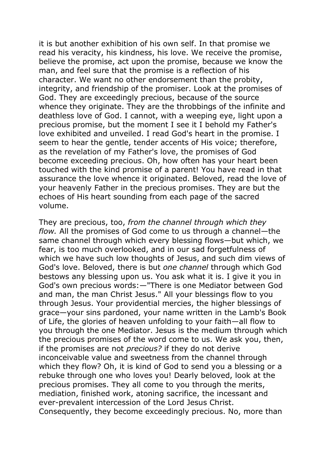it is but another exhibition of his own self. In that promise we read his veracity, his kindness, his love. We receive the promise, believe the promise, act upon the promise, because we know the man, and feel sure that the promise is a reflection of his character. We want no other endorsement than the probity, integrity, and friendship of the promiser. Look at the promises of God. They are exceedingly precious, because of the source whence they originate. They are the throbbings of the infinite and deathless love of God. I cannot, with a weeping eye, light upon a precious promise, but the moment I see it I behold my Father's love exhibited and unveiled. I read God's heart in the promise. I seem to hear the gentle, tender accents of His voice; therefore, as the revelation of my Father's love, the promises of God become exceeding precious. Oh, how often has your heart been touched with the kind promise of a parent! You have read in that assurance the love whence it originated. Beloved, read the love of your heavenly Father in the precious promises. They are but the echoes of His heart sounding from each page of the sacred volume.

They are precious, too, *from the channel through which they flow.* All the promises of God come to us through a channel—the same channel through which every blessing flows—but which, we fear, is too much overlooked, and in our sad forgetfulness of which we have such low thoughts of Jesus, and such dim views of God's love. Beloved, there is but *one channel* through which God bestows any blessing upon us. You ask what it is. I give it you in God's own precious words:—"There is one Mediator between God and man, the man Christ Jesus." All your blessings flow to you through Jesus. Your providential mercies, the higher blessings of grace—your sins pardoned, your name written in the Lamb's Book of Life, the glories of heaven unfolding to your faith—all flow to you through the one Mediator. Jesus is the medium through which the precious promises of the word come to us. We ask you, then, if the promises are not *precious?* if they do not derive inconceivable value and sweetness from the channel through which they flow? Oh, it is kind of God to send you a blessing or a rebuke through one who loves you! Dearly beloved, look at the precious promises. They all come to you through the merits, mediation, finished work, atoning sacrifice, the incessant and ever-prevalent intercession of the Lord Jesus Christ. Consequently, they become exceedingly precious. No, more than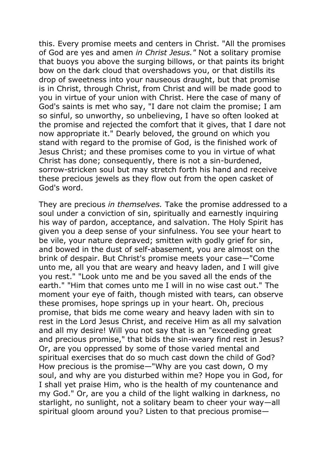this. Every promise meets and centers in Christ. "All the promises of God are yes and amen *in Christ Jesus."* Not a solitary promise that buoys you above the surging billows, or that paints its bright bow on the dark cloud that overshadows you, or that distills its drop of sweetness into your nauseous draught, but that promise is in Christ, through Christ, from Christ and will be made good to you in virtue of your union with Christ. Here the case of many of God's saints is met who say, "I dare not claim the promise; I am so sinful, so unworthy, so unbelieving, I have so often looked at the promise and rejected the comfort that it gives, that I dare not now appropriate it." Dearly beloved, the ground on which you stand with regard to the promise of God, is the finished work of Jesus Christ; and these promises come to you in virtue of what Christ has done; consequently, there is not a sin-burdened, sorrow-stricken soul but may stretch forth his hand and receive these precious jewels as they flow out from the open casket of God's word.

They are precious *in themselves.* Take the promise addressed to a soul under a conviction of sin, spiritually and earnestly inquiring his way of pardon, acceptance, and salvation. The Holy Spirit has given you a deep sense of your sinfulness. You see your heart to be vile, your nature depraved; smitten with godly grief for sin, and bowed in the dust of self-abasement, you are almost on the brink of despair. But Christ's promise meets your case—"Come unto me, all you that are weary and heavy laden, and I will give you rest." "Look unto me and be you saved all the ends of the earth." "Him that comes unto me I will in no wise cast out." The moment your eye of faith, though misted with tears, can observe these promises, hope springs up in your heart. Oh, precious promise, that bids me come weary and heavy laden with sin to rest in the Lord Jesus Christ, and receive Him as all my salvation and all my desire! Will you not say that is an "exceeding great and precious promise," that bids the sin-weary find rest in Jesus? Or, are you oppressed by some of those varied mental and spiritual exercises that do so much cast down the child of God? How precious is the promise—"Why are you cast down, O my soul, and why are you disturbed within me? Hope you in God, for I shall yet praise Him, who is the health of my countenance and my God." Or, are you a child of the light walking in darkness, no starlight, no sunlight, not a solitary beam to cheer your way—all spiritual gloom around you? Listen to that precious promise—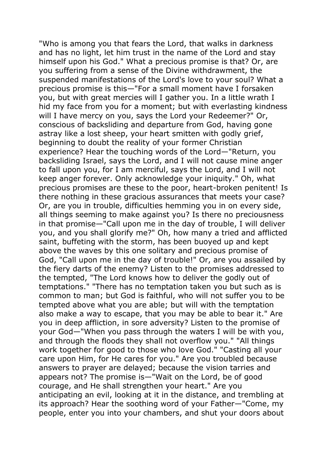"Who is among you that fears the Lord, that walks in darkness and has no light, let him trust in the name of the Lord and stay himself upon his God." What a precious promise is that? Or, are you suffering from a sense of the Divine withdrawment, the suspended manifestations of the Lord's love to your soul? What a precious promise is this—"For a small moment have I forsaken you, but with great mercies will I gather you. In a little wrath I hid my face from you for a moment; but with everlasting kindness will I have mercy on you, says the Lord your Redeemer?" Or, conscious of backsliding and departure from God, having gone astray like a lost sheep, your heart smitten with godly grief, beginning to doubt the reality of your former Christian experience? Hear the touching words of the Lord—"Return, you backsliding Israel, says the Lord, and I will not cause mine anger to fall upon you, for I am merciful, says the Lord, and I will not keep anger forever. Only acknowledge your iniquity." Oh, what precious promises are these to the poor, heart-broken penitent! Is there nothing in these gracious assurances that meets your case? Or, are you in trouble, difficulties hemming you in on every side, all things seeming to make against you? Is there no preciousness in that promise—"Call upon me in the day of trouble, I will deliver you, and you shall glorify me?" Oh, how many a tried and afflicted saint, buffeting with the storm, has been buoyed up and kept above the waves by this one solitary and precious promise of God, "Call upon me in the day of trouble!" Or, are you assailed by the fiery darts of the enemy? Listen to the promises addressed to the tempted, "The Lord knows how to deliver the godly out of temptations." "There has no temptation taken you but such as is common to man; but God is faithful, who will not suffer you to be tempted above what you are able; but will with the temptation also make a way to escape, that you may be able to bear it." Are you in deep affliction, in sore adversity? Listen to the promise of your God—"When you pass through the waters I will be with you, and through the floods they shall not overflow you." "All things work together for good to those who love God." "Casting all your care upon Him, for He cares for you." Are you troubled because answers to prayer are delayed; because the vision tarries and appears not? The promise is—"Wait on the Lord, be of good courage, and He shall strengthen your heart." Are you anticipating an evil, looking at it in the distance, and trembling at its approach? Hear the soothing word of your Father—"Come, my people, enter you into your chambers, and shut your doors about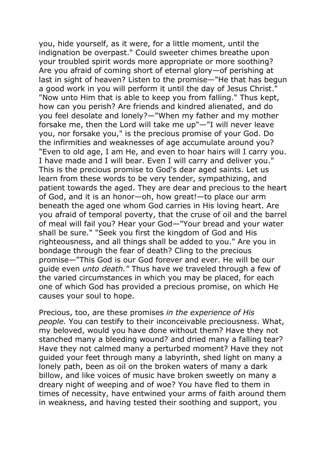you, hide yourself, as it were, for a little moment, until the indignation be overpast." Could sweeter chimes breathe upon your troubled spirit words more appropriate or more soothing? Are you afraid of coming short of eternal glory—of perishing at last in sight of heaven? Listen to the promise—"He that has begun a good work in you will perform it until the day of Jesus Christ." "Now unto Him that is able to keep you from falling." Thus kept, how can you perish? Are friends and kindred alienated, and do you feel desolate and lonely?—"When my father and my mother forsake me, then the Lord will take me up"—"I will never leave you, nor forsake you," is the precious promise of your God. Do the infirmities and weaknesses of age accumulate around you? "Even to old age, I am He, and even to hoar hairs will I carry you. I have made and I will bear. Even I will carry and deliver you." This is the precious promise to God's dear aged saints. Let us learn from these words to be very tender, sympathizing, and patient towards the aged. They are dear and precious to the heart of God, and it is an honor—oh, how great!—to place our arm beneath the aged one whom God carries in His loving heart. Are you afraid of temporal poverty, that the cruse of oil and the barrel of meal will fail you? Hear your God—"Your bread and your water shall be sure." "Seek you first the kingdom of God and His righteousness, and all things shall be added to you." Are you in bondage through the fear of death? Cling to the precious promise—"This God is our God forever and ever. He will be our guide even *unto death."* Thus have we traveled through a few of the varied circumstances in which you may be placed, for each one of which God has provided a precious promise, on which He causes your soul to hope.

Precious, too, are these promises *in the experience of His people.* You can testify to their inconceivable preciousness. What, my beloved, would you have done without them? Have they not stanched many a bleeding wound? and dried many a falling tear? Have they not calmed many a perturbed moment? Have they not guided your feet through many a labyrinth, shed light on many a lonely path, been as oil on the broken waters of many a dark billow, and like voices of music have broken sweetly on many a dreary night of weeping and of woe? You have fled to them in times of necessity, have entwined your arms of faith around them in weakness, and having tested their soothing and support, you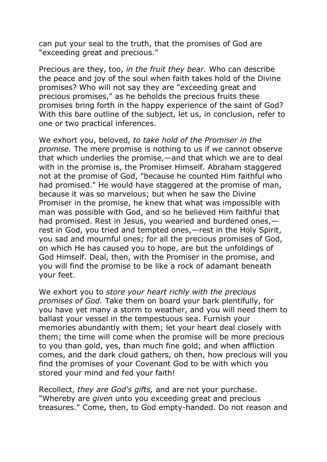can put your seal to the truth, that the promises of God are "exceeding great and precious."

Precious are they, too, *in the fruit they bear.* Who can describe the peace and joy of the soul when faith takes hold of the Divine promises? Who will not say they are "exceeding great and precious promises," as he beholds the precious fruits these promises bring forth in the happy experience of the saint of God? With this bare outline of the subject, let us, in conclusion, refer to one or two practical inferences.

We exhort you, beloved, *to take hold of the Promiser in the promise.* The mere promise is nothing to us if we cannot observe that which underlies the promise,—and that which we are to deal with in the promise is, the Promiser Himself. Abraham staggered not at the promise of God, "because he counted Him faithful who had promised." He would have staggered at the promise of man, because it was so marvelous; but when he saw the Divine Promiser in the promise, he knew that what was impossible with man was possible with God, and so he believed Him faithful that had promised. Rest in Jesus, you wearied and burdened ones, rest in God, you tried and tempted ones,—rest in the Holy Spirit, you sad and mournful ones; for all the precious promises of God, on which He has caused you to hope, are but the unfoldings of God Himself. Deal, then, with the Promiser in the promise, and you will find the promise to be like a rock of adamant beneath your feet.

We exhort you to *store your heart richly with the precious promises of God.* Take them on board your bark plentifully, for you have yet many a storm to weather, and you will need them to ballast your vessel in the tempestuous sea. Furnish your memories abundantly with them; let your heart deal closely with them; the time will come when the promise will be more precious to you than gold, yes, than much fine gold; and when affliction comes, and the dark cloud gathers, oh then, how precious will you find the promises of your Covenant God to be with which you stored your mind and fed your faith!

Recollect, *they are God's gifts,* and are not your purchase. "Whereby are *given* unto you exceeding great and precious treasures." Come, then, to God empty-handed. Do not reason and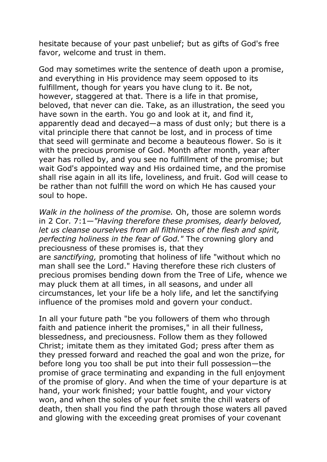hesitate because of your past unbelief; but as gifts of God's free favor, welcome and trust in them.

God may sometimes write the sentence of death upon a promise, and everything in His providence may seem opposed to its fulfillment, though for years you have clung to it. Be not, however, staggered at that. There is a life in that promise, beloved, that never can die. Take, as an illustration, the seed you have sown in the earth. You go and look at it, and find it, apparently dead and decayed—a mass of dust only; but there is a vital principle there that cannot be lost, and in process of time that seed will germinate and become a beauteous flower. So is it with the precious promise of God. Month after month, year after year has rolled by, and you see no fulfillment of the promise; but wait God's appointed way and His ordained time, and the promise shall rise again in all its life, loveliness, and fruit. God will cease to be rather than not fulfill the word on which He has caused your soul to hope.

*Walk in the holiness of the promise.* Oh, those are solemn words in 2 Cor. 7:1—*"Having therefore these promises, dearly beloved, let us cleanse ourselves from all filthiness of the flesh and spirit, perfecting holiness in the fear of God."* The crowning glory and preciousness of these promises is, that they are *sanctifying,* promoting that holiness of life "without which no man shall see the Lord." Having therefore these rich clusters of precious promises bending down from the Tree of Life, whence we may pluck them at all times, in all seasons, and under all circumstances, let your life be a holy life, and let the sanctifying influence of the promises mold and govern your conduct.

In all your future path "be you followers of them who through faith and patience inherit the promises," in all their fullness, blessedness, and preciousness. Follow them as they followed Christ; imitate them as they imitated God; press after them as they pressed forward and reached the goal and won the prize, for before long you too shall be put into their full possession—the promise of grace terminating and expanding in the full enjoyment of the promise of glory. And when the time of your departure is at hand, your work finished; your battle fought, and your victory won, and when the soles of your feet smite the chill waters of death, then shall you find the path through those waters all paved and glowing with the exceeding great promises of your covenant